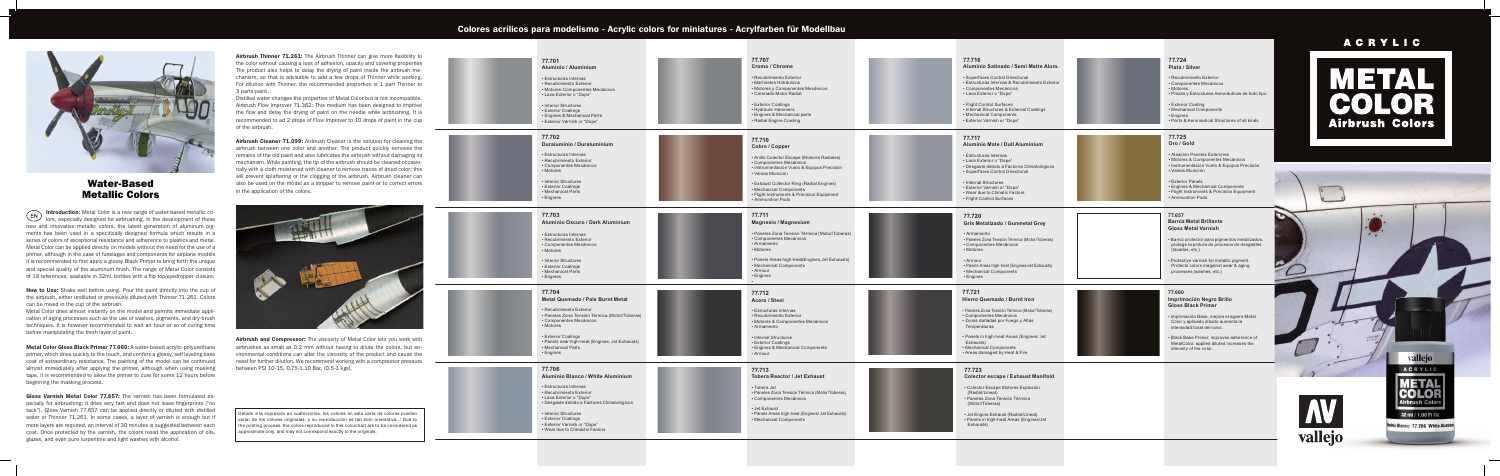

Introduction: Metal Color is a new range of water-based metallic colors, especially designed for airbrushing. In the development of these new and innovative metallic colors, the latest generation of aluminum pig ments has been used in a specifically designed formula which results in a series of colors of exceptional resistance and adherence to plastics and metal. Metal Color can be applied directly on models without the need for the use of a primer, although in the case of fuselages and components for airplane models it is recommended to first apply a glossy Black Primer to bring forth the unique and special quality of the aluminum finish. The range of Metal Color consists of 19 references, available in 32ml. bottles with a flip top/eyedropper closure.

How to Use: Shake well before using. Pour the paint directly into the cup of the airbrush, either undiluted or previously diluted with Thinner 71.261. Colors can be mixed in the cup of the airbrush.

- Desgaste debido a Factores Climatológicos
- 
- Interior Structures
- Exterior Coatings
- Exterior Varnish or "Dope"
- Wear due to Climactic Factor s

Gloss Varnish Metal Color 77.657: The varnish has been formulated especially for airbrushing; it dries very fast and does not leave fingerprints ("no tack"). Gloss Varnish 77.657 can be applied directly or diluted with distilled water or Thinner 71.261. In some cases, a layer of varnish is enough but if more layers are required, an interval of 30 minutes is suggested between each coat. Once protected by the varnish, the colors resist the application of oils, glazes, and even pure turpentine and light washes with alcohol.

Airbrush Thinner 71.261: The Airbrush Thinner can give more flexibility to the color without causing a loss of adhesion, opacity and covering properties The product also helps to delay the drying of paint inside the airbrush me chanism, so that is advisable to add a few drops of Thinner while working. For dilution with Thinner, the recommended proportion is 1 part Thinner to 3 parts paint.









Airbrush and Compressor: The viscosity of Metal Color lets you work with airbrushes as small as 0.2 mm without having to dilute the colors, but en vironmental conditions can alter the viscosity of the product and cause the need for further dilution. We recommend working with a compressor pressure between PSI 10-15, 0.75-1.10 Bar, (0.5-1 kgs).

### Colores acrílicos para modelismo - Acrylic colors for miniatures - Acrylfarben für Modellbau



## Water-Based Metallic Colors

Metal Color dries almost instantly on the model and permits immediate appli cation of aging processes such as the use of washes, pigments, and dry-brush techniques. It is however recommended to wait an hour or so of curing time before manipulating the fresh layer of paint.

Metal Color Gloss Black Primer 77.660: A water-based acrylic-polyurethane primer, which dries quickly to the touch, and confers a glossy, self leveling base coat of extraordinary resistance. The painting of the model can be continued almost immediately after applying the primer, although when using masking tape, it is recommended to allow the primer to cure for some 12 hours before beginning the masking process.

Distilled water changes the properties of Metal Color but is not incompatible. Airbrush Flow Improver 71.362: This medium has been designed to improve the flow and delay the drying of paint on the needle while airbrushing. It is recommended to ad 2 drops of Flow Improver to 10 drops of paint in the cup of the airbrush.

Airbrush Cleaner 71.099: Airbrush Cleaner is the solution for cleaning the airbrush between one color and another. The product quickly removes the remains of the old paint and also lubricates the airbrush without damaging its mechanism. While painting, the tip of the airbrush should be cleaned occasio nally with a cloth moistened with cleaner to remove traces of dried color; this will prevent splattering or the clogging of the airbrush. Airbrush cleaner can also be used on the model as a stripper to remove paint or to correct errors in the application of the colors.



Debido a la impresión en cuatricromía, los colores en esta carta de colores pueden variar de los colores originales, y su reproducción es tan solo orientativa. / Due to the printing process, the colors reproduced in this colorchart are to be considered as approximate only. and may not correspond exactly to the originals.